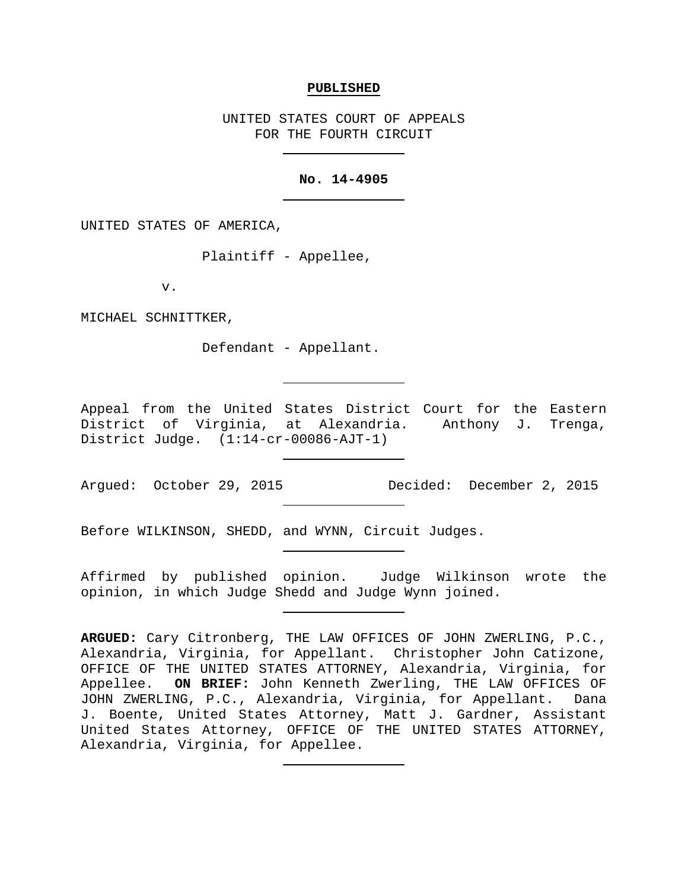### **PUBLISHED**

UNITED STATES COURT OF APPEALS FOR THE FOURTH CIRCUIT

### **No. 14-4905**

UNITED STATES OF AMERICA,

Plaintiff - Appellee,

v.

MICHAEL SCHNITTKER,

Defendant - Appellant.

Appeal from the United States District Court for the Eastern District of Virginia, at Alexandria. Anthony J. Trenga, District Judge. (1:14-cr-00086-AJT-1)

Argued: October 29, 2015 Decided: December 2, 2015

Before WILKINSON, SHEDD, and WYNN, Circuit Judges.

Affirmed by published opinion. Judge Wilkinson wrote the opinion, in which Judge Shedd and Judge Wynn joined.

**ARGUED:** Cary Citronberg, THE LAW OFFICES OF JOHN ZWERLING, P.C., Alexandria, Virginia, for Appellant. Christopher John Catizone, OFFICE OF THE UNITED STATES ATTORNEY, Alexandria, Virginia, for Appellee. **ON BRIEF:** John Kenneth Zwerling, THE LAW OFFICES OF JOHN ZWERLING, P.C., Alexandria, Virginia, for Appellant. Dana J. Boente, United States Attorney, Matt J. Gardner, Assistant United States Attorney, OFFICE OF THE UNITED STATES ATTORNEY, Alexandria, Virginia, for Appellee.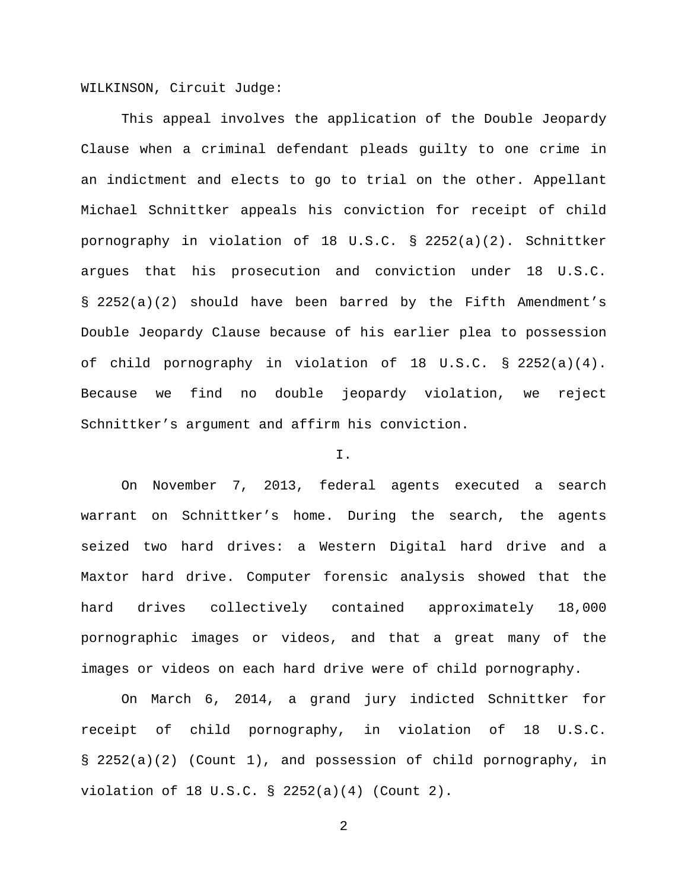WILKINSON, Circuit Judge:

This appeal involves the application of the Double Jeopardy Clause when a criminal defendant pleads guilty to one crime in an indictment and elects to go to trial on the other. Appellant Michael Schnittker appeals his conviction for receipt of child pornography in violation of 18 U.S.C. § 2252(a)(2). Schnittker argues that his prosecution and conviction under 18 U.S.C. § 2252(a)(2) should have been barred by the Fifth Amendment's Double Jeopardy Clause because of his earlier plea to possession of child pornography in violation of 18 U.S.C. § 2252(a)(4). Because we find no double jeopardy violation, we reject Schnittker's argument and affirm his conviction.

# I.

On November 7, 2013, federal agents executed a search warrant on Schnittker's home. During the search, the agents seized two hard drives: a Western Digital hard drive and a Maxtor hard drive. Computer forensic analysis showed that the hard drives collectively contained approximately 18,000 pornographic images or videos, and that a great many of the images or videos on each hard drive were of child pornography.

On March 6, 2014, a grand jury indicted Schnittker for receipt of child pornography, in violation of 18 U.S.C. § 2252(a)(2) (Count 1), and possession of child pornography, in violation of 18 U.S.C. § 2252(a)(4) (Count 2).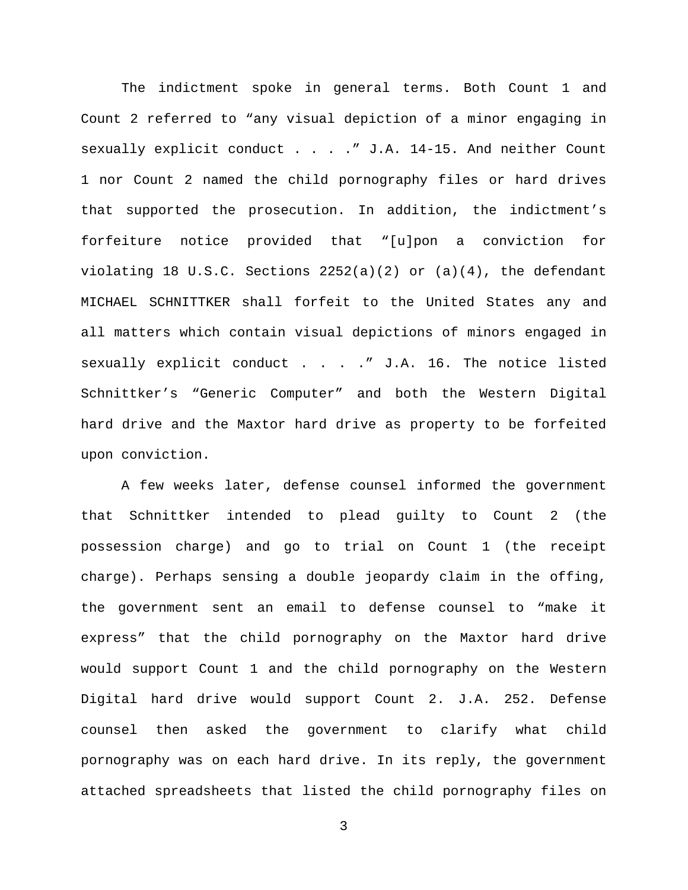The indictment spoke in general terms. Both Count 1 and Count 2 referred to "any visual depiction of a minor engaging in sexually explicit conduct . . . . " J.A. 14-15. And neither Count 1 nor Count 2 named the child pornography files or hard drives that supported the prosecution. In addition, the indictment's forfeiture notice provided that "[u]pon a conviction for violating 18 U.S.C. Sections 2252(a)(2) or (a)(4), the defendant MICHAEL SCHNITTKER shall forfeit to the United States any and all matters which contain visual depictions of minors engaged in sexually explicit conduct . . . . " J.A. 16. The notice listed Schnittker's "Generic Computer" and both the Western Digital hard drive and the Maxtor hard drive as property to be forfeited upon conviction.

A few weeks later, defense counsel informed the government that Schnittker intended to plead guilty to Count 2 (the possession charge) and go to trial on Count 1 (the receipt charge). Perhaps sensing a double jeopardy claim in the offing, the government sent an email to defense counsel to "make it express" that the child pornography on the Maxtor hard drive would support Count 1 and the child pornography on the Western Digital hard drive would support Count 2. J.A. 252. Defense counsel then asked the government to clarify what child pornography was on each hard drive. In its reply, the government attached spreadsheets that listed the child pornography files on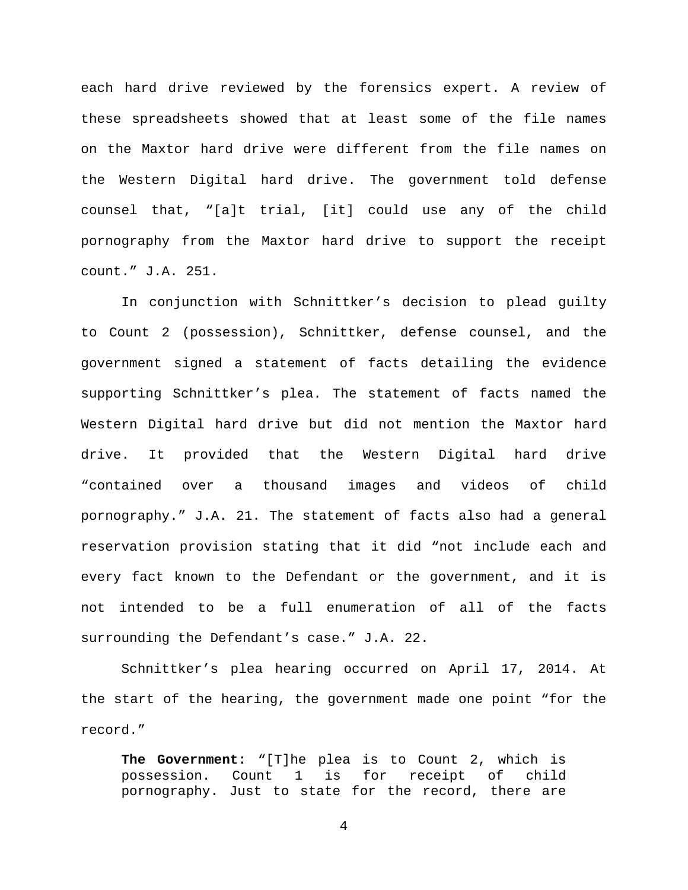each hard drive reviewed by the forensics expert. A review of these spreadsheets showed that at least some of the file names on the Maxtor hard drive were different from the file names on the Western Digital hard drive. The government told defense counsel that, "[a]t trial, [it] could use any of the child pornography from the Maxtor hard drive to support the receipt count." J.A. 251.

In conjunction with Schnittker's decision to plead guilty to Count 2 (possession), Schnittker, defense counsel, and the government signed a statement of facts detailing the evidence supporting Schnittker's plea. The statement of facts named the Western Digital hard drive but did not mention the Maxtor hard drive. It provided that the Western Digital hard drive "contained over a thousand images and videos of child pornography." J.A. 21. The statement of facts also had a general reservation provision stating that it did "not include each and every fact known to the Defendant or the government, and it is not intended to be a full enumeration of all of the facts surrounding the Defendant's case." J.A. 22.

Schnittker's plea hearing occurred on April 17, 2014. At the start of the hearing, the government made one point "for the record."

**The Government:** "[T]he plea is to Count 2, which is possession. Count 1 is for receipt of child pornography. Just to state for the record, there are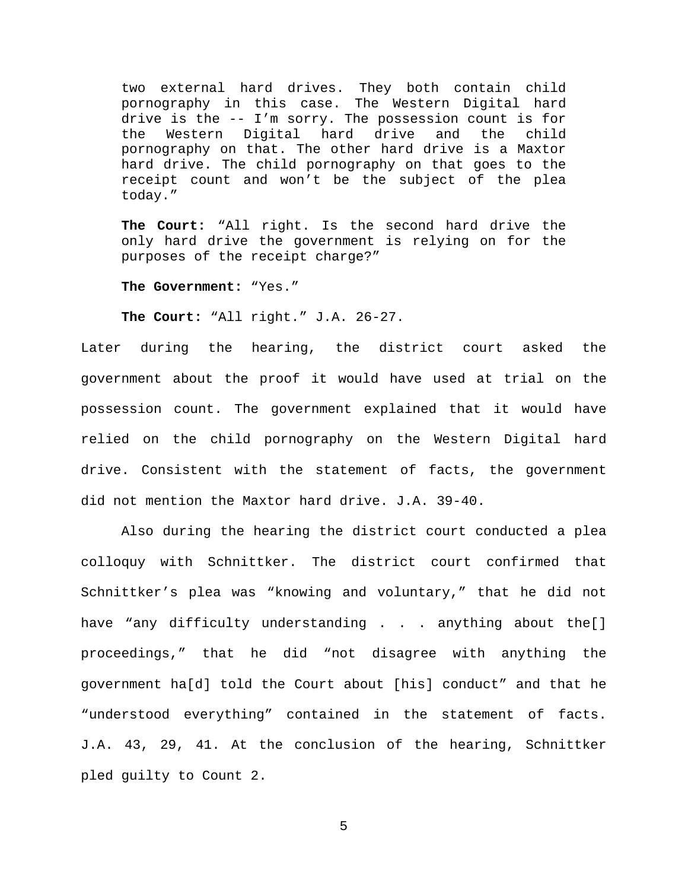two external hard drives. They both contain child pornography in this case. The Western Digital hard drive is the -- I'm sorry. The possession count is for the Western Digital hard drive and the child pornography on that. The other hard drive is a Maxtor hard drive. The child pornography on that goes to the receipt count and won't be the subject of the plea today."

**The Court:** "All right. Is the second hard drive the only hard drive the government is relying on for the purposes of the receipt charge?"

**The Government:** "Yes."

**The Court:** "All right." J.A. 26-27.

Later during the hearing, the district court asked the government about the proof it would have used at trial on the possession count. The government explained that it would have relied on the child pornography on the Western Digital hard drive. Consistent with the statement of facts, the government did not mention the Maxtor hard drive. J.A. 39-40.

Also during the hearing the district court conducted a plea colloquy with Schnittker. The district court confirmed that Schnittker's plea was "knowing and voluntary," that he did not have "any difficulty understanding . . . anything about the[] proceedings," that he did "not disagree with anything the government ha[d] told the Court about [his] conduct" and that he "understood everything" contained in the statement of facts. J.A. 43, 29, 41. At the conclusion of the hearing, Schnittker pled guilty to Count 2.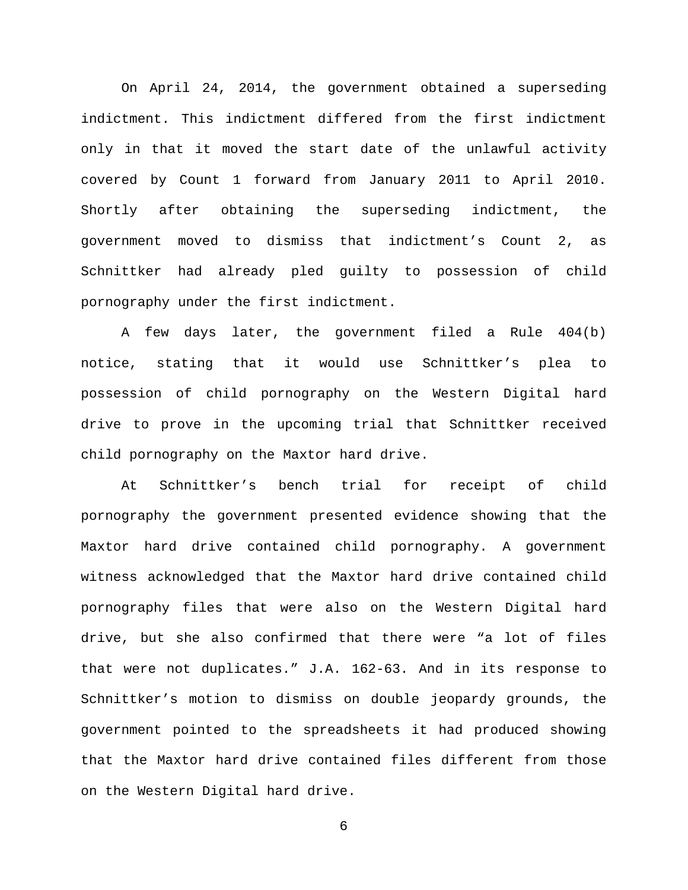On April 24, 2014, the government obtained a superseding indictment. This indictment differed from the first indictment only in that it moved the start date of the unlawful activity covered by Count 1 forward from January 2011 to April 2010. Shortly after obtaining the superseding indictment, the government moved to dismiss that indictment's Count 2, as Schnittker had already pled guilty to possession of child pornography under the first indictment.

A few days later, the government filed a Rule 404(b) notice, stating that it would use Schnittker's plea to possession of child pornography on the Western Digital hard drive to prove in the upcoming trial that Schnittker received child pornography on the Maxtor hard drive.

At Schnittker's bench trial for receipt of child pornography the government presented evidence showing that the Maxtor hard drive contained child pornography. A government witness acknowledged that the Maxtor hard drive contained child pornography files that were also on the Western Digital hard drive, but she also confirmed that there were "a lot of files that were not duplicates." J.A. 162-63. And in its response to Schnittker's motion to dismiss on double jeopardy grounds, the government pointed to the spreadsheets it had produced showing that the Maxtor hard drive contained files different from those on the Western Digital hard drive.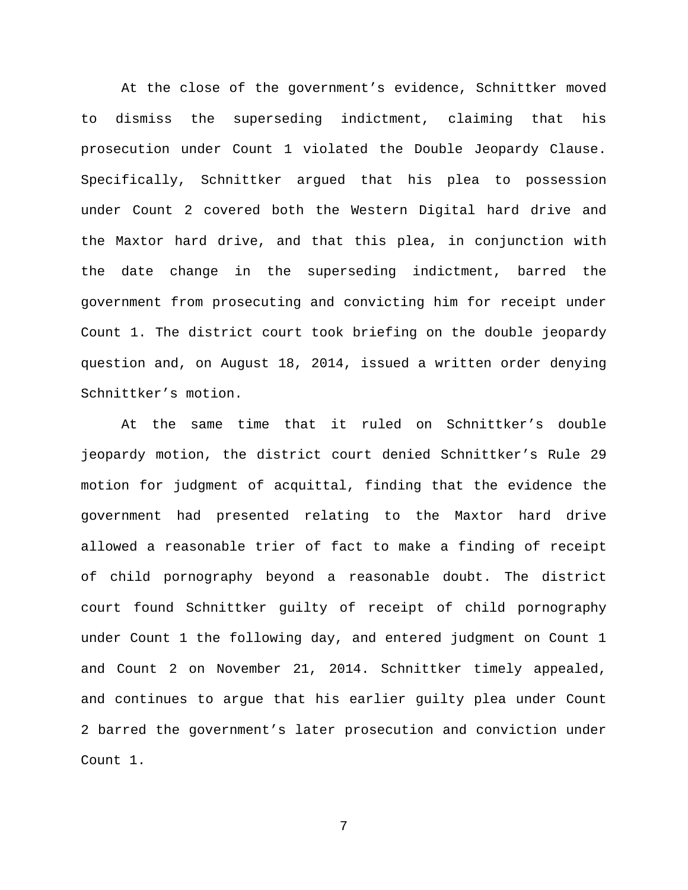At the close of the government's evidence, Schnittker moved to dismiss the superseding indictment, claiming that his prosecution under Count 1 violated the Double Jeopardy Clause. Specifically, Schnittker argued that his plea to possession under Count 2 covered both the Western Digital hard drive and the Maxtor hard drive, and that this plea, in conjunction with the date change in the superseding indictment, barred the government from prosecuting and convicting him for receipt under Count 1. The district court took briefing on the double jeopardy question and, on August 18, 2014, issued a written order denying Schnittker's motion.

At the same time that it ruled on Schnittker's double jeopardy motion, the district court denied Schnittker's Rule 29 motion for judgment of acquittal, finding that the evidence the government had presented relating to the Maxtor hard drive allowed a reasonable trier of fact to make a finding of receipt of child pornography beyond a reasonable doubt. The district court found Schnittker guilty of receipt of child pornography under Count 1 the following day, and entered judgment on Count 1 and Count 2 on November 21, 2014. Schnittker timely appealed, and continues to argue that his earlier guilty plea under Count 2 barred the government's later prosecution and conviction under Count 1.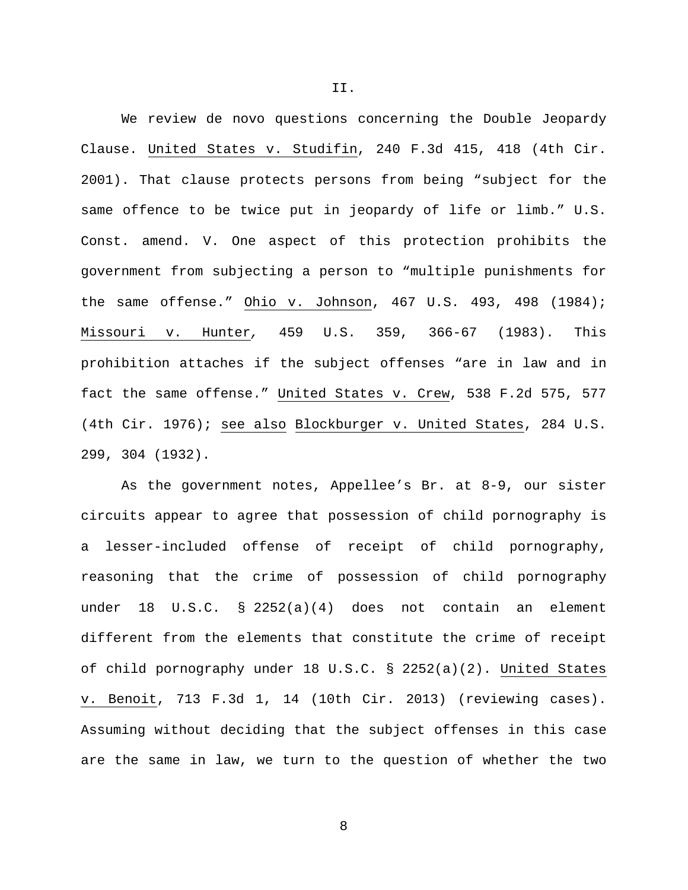We review de novo questions concerning the Double Jeopardy Clause. United States v. Studifin, 240 F.3d 415, 418 (4th Cir. 2001). That clause protects persons from being "subject for the same offence to be twice put in jeopardy of life or limb." U.S. Const. amend. V. One aspect of this protection prohibits the government from subjecting a person to "multiple punishments for the same offense." Ohio v. Johnson, 467 U.S. 493, 498 (1984); Missouri v. Hunter*,* 459 U.S. 359, 366-67 (1983). This prohibition attaches if the subject offenses "are in law and in fact the same offense." United States v. Crew, 538 F.2d 575, 577 (4th Cir. 1976); see also Blockburger v. United States, 284 U.S. 299, 304 (1932).

As the government notes, Appellee's Br. at 8-9, our sister circuits appear to agree that possession of child pornography is a lesser-included offense of receipt of child pornography, reasoning that the crime of possession of child pornography under 18 U.S.C. § 2252(a)(4) does not contain an element different from the elements that constitute the crime of receipt of child pornography under 18 U.S.C. § 2252(a)(2). United States v. Benoit, 713 F.3d 1, 14 (10th Cir. 2013) (reviewing cases). Assuming without deciding that the subject offenses in this case are the same in law, we turn to the question of whether the two

II.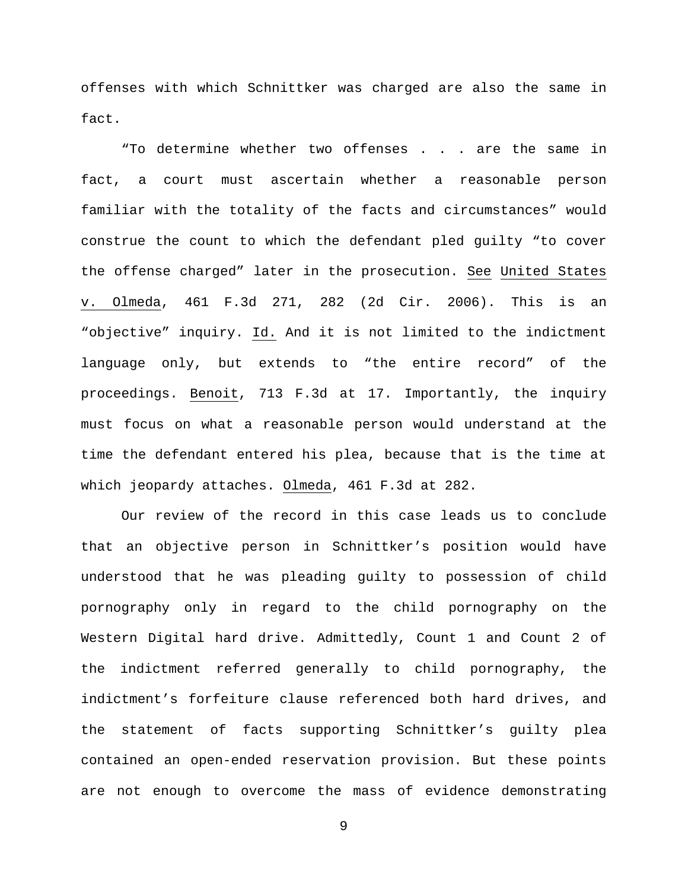offenses with which Schnittker was charged are also the same in fact.

"To determine whether two offenses . . . are the same in fact, a court must ascertain whether a reasonable person familiar with the totality of the facts and circumstances" would construe the count to which the defendant pled guilty "to cover the offense charged" later in the prosecution. See United States v. Olmeda, 461 F.3d 271, 282 (2d Cir. 2006). This is an "objective" inquiry. Id. And it is not limited to the indictment language only, but extends to "the entire record" of the proceedings. Benoit, 713 F.3d at 17. Importantly, the inquiry must focus on what a reasonable person would understand at the time the defendant entered his plea, because that is the time at which jeopardy attaches. Olmeda, 461 F.3d at 282.

Our review of the record in this case leads us to conclude that an objective person in Schnittker's position would have understood that he was pleading guilty to possession of child pornography only in regard to the child pornography on the Western Digital hard drive. Admittedly, Count 1 and Count 2 of the indictment referred generally to child pornography, the indictment's forfeiture clause referenced both hard drives, and the statement of facts supporting Schnittker's guilty plea contained an open-ended reservation provision. But these points are not enough to overcome the mass of evidence demonstrating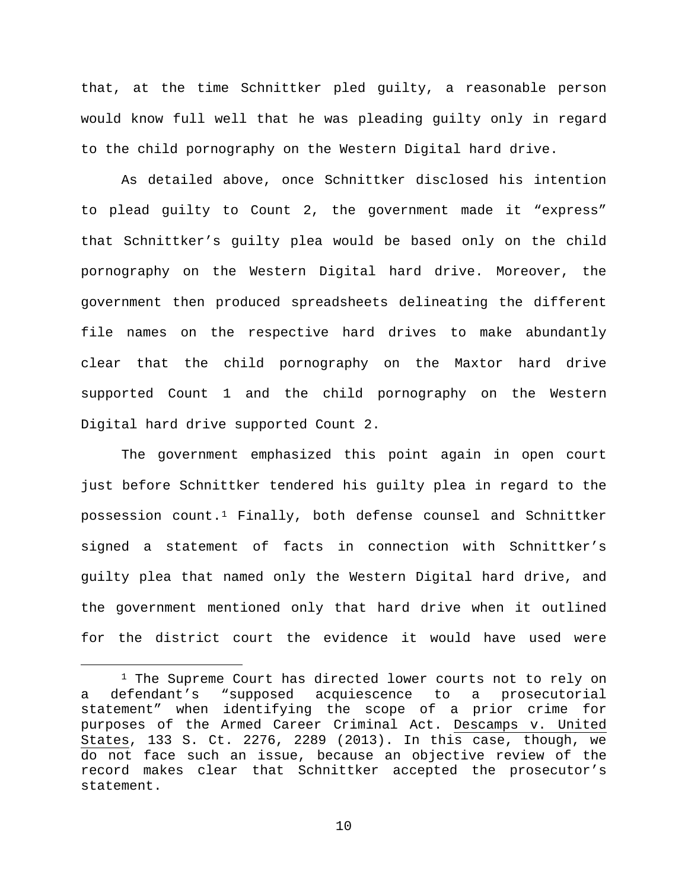that, at the time Schnittker pled guilty, a reasonable person would know full well that he was pleading guilty only in regard to the child pornography on the Western Digital hard drive.

As detailed above, once Schnittker disclosed his intention to plead guilty to Count 2, the government made it "express" that Schnittker's guilty plea would be based only on the child pornography on the Western Digital hard drive. Moreover, the government then produced spreadsheets delineating the different file names on the respective hard drives to make abundantly clear that the child pornography on the Maxtor hard drive supported Count 1 and the child pornography on the Western Digital hard drive supported Count 2.

The government emphasized this point again in open court just before Schnittker tendered his guilty plea in regard to the possession count.[1](#page-9-0) Finally, both defense counsel and Schnittker signed a statement of facts in connection with Schnittker's guilty plea that named only the Western Digital hard drive, and the government mentioned only that hard drive when it outlined for the district court the evidence it would have used were

<span id="page-9-0"></span><sup>&</sup>lt;sup>1</sup> The Supreme Court has directed lower courts not to rely on a defendant's "supposed acquiescence to a prosecutorial statement" when identifying the scope of a prior crime for purposes of the Armed Career Criminal Act. Descamps v. United States, 133 S. Ct. 2276, 2289 (2013). In this case, though, we do not face such an issue, because an objective review of the record makes clear that Schnittker accepted the prosecutor's statement.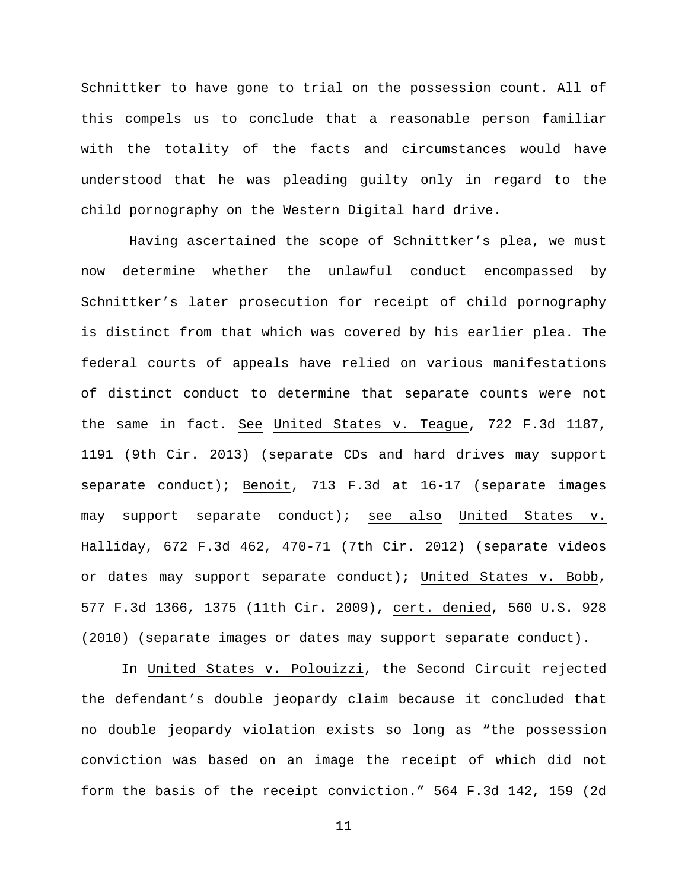Schnittker to have gone to trial on the possession count. All of this compels us to conclude that a reasonable person familiar with the totality of the facts and circumstances would have understood that he was pleading guilty only in regard to the child pornography on the Western Digital hard drive.

Having ascertained the scope of Schnittker's plea, we must now determine whether the unlawful conduct encompassed by Schnittker's later prosecution for receipt of child pornography is distinct from that which was covered by his earlier plea. The federal courts of appeals have relied on various manifestations of distinct conduct to determine that separate counts were not the same in fact. See United States v. Teague, 722 F.3d 1187, 1191 (9th Cir. 2013) (separate CDs and hard drives may support separate conduct); Benoit, 713 F.3d at 16-17 (separate images may support separate conduct); see also United States v. Halliday, 672 F.3d 462, 470-71 (7th Cir. 2012) (separate videos or dates may support separate conduct); United States v. Bobb, 577 F.3d 1366, 1375 (11th Cir. 2009), cert. denied, 560 U.S. 928 (2010) (separate images or dates may support separate conduct).

In United States v. Polouizzi, the Second Circuit rejected the defendant's double jeopardy claim because it concluded that no double jeopardy violation exists so long as "the possession conviction was based on an image the receipt of which did not form the basis of the receipt conviction." 564 F.3d 142, 159 (2d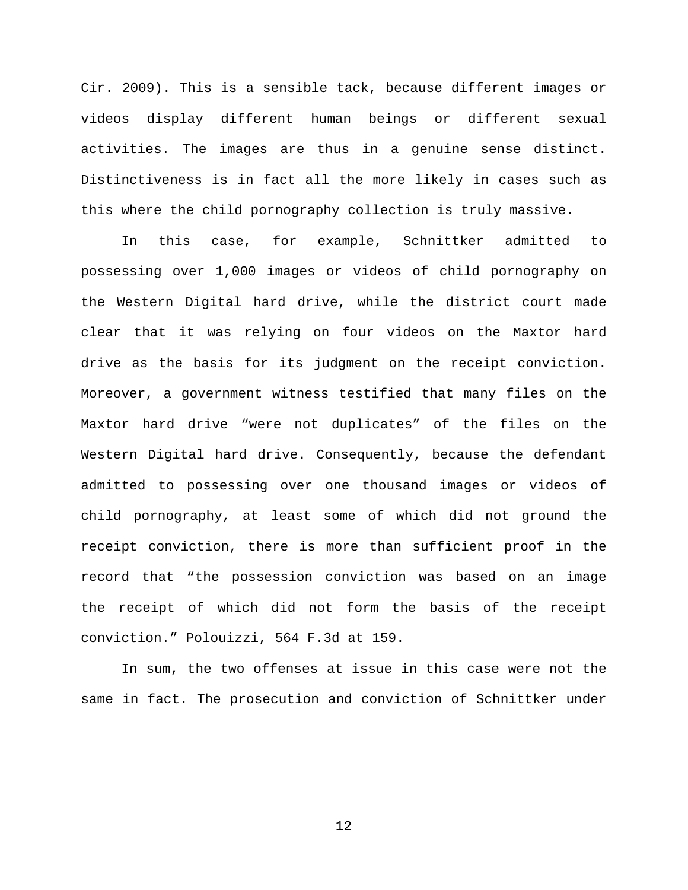Cir. 2009). This is a sensible tack, because different images or videos display different human beings or different sexual activities. The images are thus in a genuine sense distinct. Distinctiveness is in fact all the more likely in cases such as this where the child pornography collection is truly massive.

In this case, for example, Schnittker admitted to possessing over 1,000 images or videos of child pornography on the Western Digital hard drive, while the district court made clear that it was relying on four videos on the Maxtor hard drive as the basis for its judgment on the receipt conviction. Moreover, a government witness testified that many files on the Maxtor hard drive "were not duplicates" of the files on the Western Digital hard drive. Consequently, because the defendant admitted to possessing over one thousand images or videos of child pornography, at least some of which did not ground the receipt conviction, there is more than sufficient proof in the record that "the possession conviction was based on an image the receipt of which did not form the basis of the receipt conviction." Polouizzi, 564 F.3d at 159.

In sum, the two offenses at issue in this case were not the same in fact. The prosecution and conviction of Schnittker under